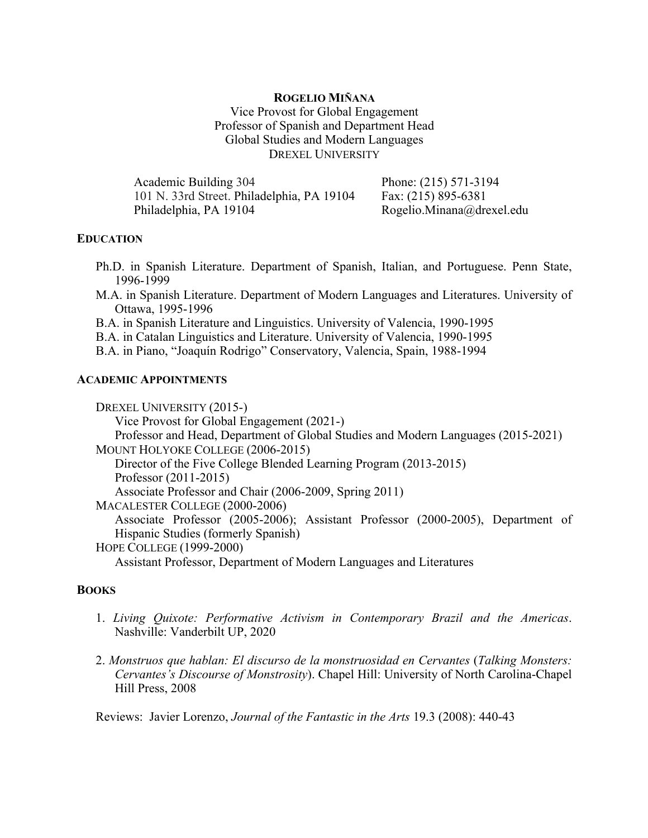## **ROGELIO MIÑANA**

Vice Provost for Global Engagement Professor of Spanish and Department Head Global Studies and Modern Languages DREXEL UNIVERSITY

| Academic Building 304                      | Phone: (215) 571-3194     |
|--------------------------------------------|---------------------------|
| 101 N. 33rd Street. Philadelphia, PA 19104 | Fax: (215) 895-6381       |
| Philadelphia, PA 19104                     | Rogelio.Minana@drexel.edu |

# **EDUCATION**

- Ph.D. in Spanish Literature. Department of Spanish, Italian, and Portuguese. Penn State, 1996-1999
- M.A. in Spanish Literature. Department of Modern Languages and Literatures. University of Ottawa, 1995-1996
- B.A. in Spanish Literature and Linguistics. University of Valencia, 1990-1995
- B.A. in Catalan Linguistics and Literature. University of Valencia, 1990-1995
- B.A. in Piano, "Joaquín Rodrigo" Conservatory, Valencia, Spain, 1988-1994

## **ACADEMIC APPOINTMENTS**

DREXEL UNIVERSITY (2015-) Vice Provost for Global Engagement (2021-) Professor and Head, Department of Global Studies and Modern Languages (2015-2021) MOUNT HOLYOKE COLLEGE (2006-2015) Director of the Five College Blended Learning Program (2013-2015) Professor (2011-2015) Associate Professor and Chair (2006-2009, Spring 2011) MACALESTER COLLEGE (2000-2006) Associate Professor (2005-2006); Assistant Professor (2000-2005), Department of Hispanic Studies (formerly Spanish) HOPE COLLEGE (1999-2000) Assistant Professor, Department of Modern Languages and Literatures

## **BOOKS**

- 1. *Living Quixote: Performative Activism in Contemporary Brazil and the Americas*. Nashville: Vanderbilt UP, 2020
- 2. *Monstruos que hablan: El discurso de la monstruosidad en Cervantes* (*Talking Monsters: Cervantes's Discourse of Monstrosity*). Chapel Hill: University of North Carolina-Chapel Hill Press, 2008

Reviews: Javier Lorenzo, *Journal of the Fantastic in the Arts* 19.3 (2008): 440-43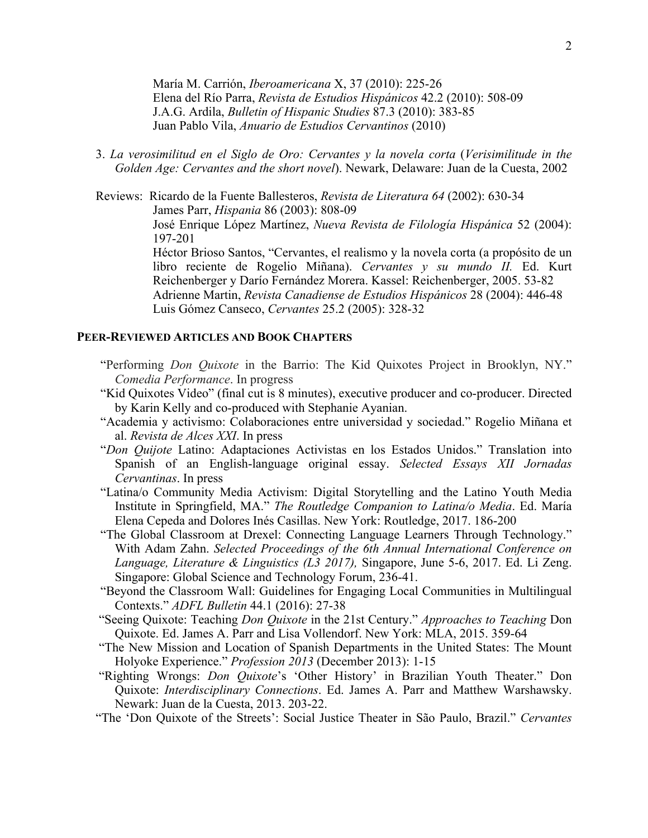María M. Carrión, *Iberoamericana* X, 37 (2010): 225-26 Elena del Río Parra, *Revista de Estudios Hispánicos* 42.2 (2010): 508-09 J.A.G. Ardila, *Bulletin of Hispanic Studies* 87.3 (2010): 383-85 Juan Pablo Vila, *Anuario de Estudios Cervantinos* (2010)

3. *La verosimilitud en el Siglo de Oro: Cervantes y la novela corta* (*Verisimilitude in the Golden Age: Cervantes and the short novel*). Newark, Delaware: Juan de la Cuesta, 2002

Reviews: Ricardo de la Fuente Ballesteros, *Revista de Literatura 64* (2002): 630-34 James Parr, *Hispania* 86 (2003): 808-09 José Enrique López Martínez, *Nueva Revista de Filología Hispánica* 52 (2004): 197-201 Héctor Brioso Santos, "Cervantes, el realismo y la novela corta (a propósito de un libro reciente de Rogelio Miñana). *Cervantes y su mundo II.* Ed. Kurt Reichenberger y Darío Fernández Morera. Kassel: Reichenberger, 2005. 53-82

Adrienne Martin, *Revista Canadiense de Estudios Hispánicos* 28 (2004): 446-48 Luis Gómez Canseco, *Cervantes* 25.2 (2005): 328-32

## **PEER-REVIEWED ARTICLES AND BOOK CHAPTERS**

- "Performing *Don Quixote* in the Barrio: The Kid Quixotes Project in Brooklyn, NY." *Comedia Performance*. In progress
- "Kid Quixotes Video" (final cut is 8 minutes), executive producer and co-producer. Directed by Karin Kelly and co-produced with Stephanie Ayanian.
- "Academia y activismo: Colaboraciones entre universidad y sociedad." Rogelio Miñana et al. *Revista de Alces XXI*. In press
- "*Don Quijote* Latino: Adaptaciones Activistas en los Estados Unidos." Translation into Spanish of an English-language original essay. *Selected Essays XII Jornadas Cervantinas*. In press
- "Latina/o Community Media Activism: Digital Storytelling and the Latino Youth Media Institute in Springfield, MA." *The Routledge Companion to Latina/o Media*. Ed. María Elena Cepeda and Dolores Inés Casillas. New York: Routledge, 2017. 186-200
- "The Global Classroom at Drexel: Connecting Language Learners Through Technology." With Adam Zahn. *Selected Proceedings of the 6th Annual International Conference on Language, Literature & Linguistics (L3 2017),* Singapore, June 5-6, 2017. Ed. Li Zeng. Singapore: Global Science and Technology Forum, 236-41.
- "Beyond the Classroom Wall: Guidelines for Engaging Local Communities in Multilingual Contexts." *ADFL Bulletin* 44.1 (2016): 27-38
- "Seeing Quixote: Teaching *Don Quixote* in the 21st Century." *Approaches to Teaching* Don Quixote. Ed. James A. Parr and Lisa Vollendorf. New York: MLA, 2015. 359-64
- "The New Mission and Location of Spanish Departments in the United States: The Mount Holyoke Experience." *Profession 2013* (December 2013): 1-15
- "Righting Wrongs: *Don Quixote*'s 'Other History' in Brazilian Youth Theater." Don Quixote: *Interdisciplinary Connections*. Ed. James A. Parr and Matthew Warshawsky. Newark: Juan de la Cuesta, 2013. 203-22.
- "The 'Don Quixote of the Streets': Social Justice Theater in São Paulo, Brazil." *Cervantes*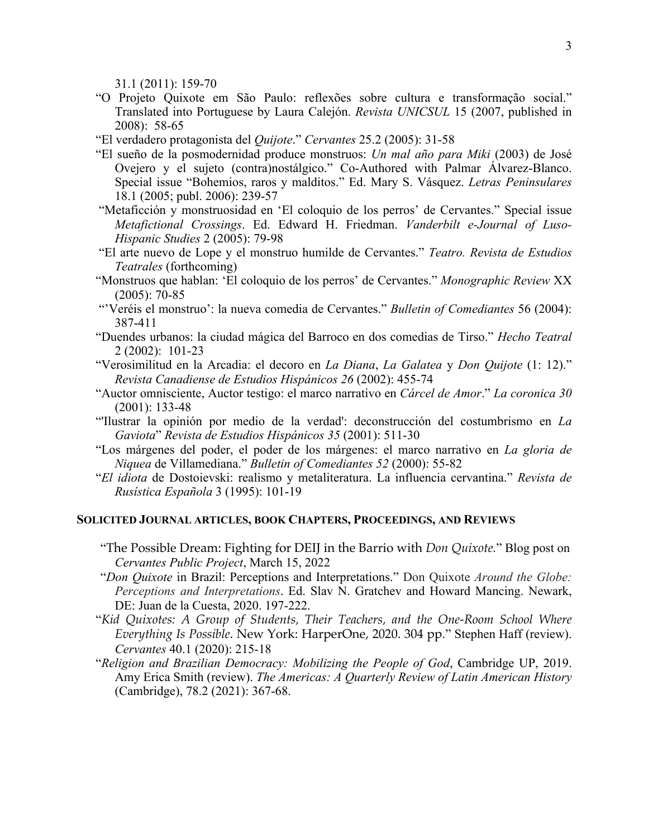31.1 (2011): 159-70

- "O Projeto Quixote em São Paulo: reflexões sobre cultura e transformação social." Translated into Portuguese by Laura Calejón. *Revista UNICSUL* 15 (2007, published in 2008): 58-65
- "El verdadero protagonista del *Quijote*." *Cervantes* 25.2 (2005): 31-58
- "El sueño de la posmodernidad produce monstruos: *Un mal año para Miki* (2003) de José Ovejero y el sujeto (contra)nostálgico." Co-Authored with Palmar Álvarez-Blanco. Special issue "Bohemios, raros y malditos." Ed. Mary S. Vásquez. *Letras Peninsulares* 18.1 (2005; publ. 2006): 239-57
- "Metaficción y monstruosidad en 'El coloquio de los perros' de Cervantes." Special issue *Metafictional Crossings*. Ed. Edward H. Friedman. *Vanderbilt e-Journal of Luso-Hispanic Studies* 2 (2005): 79-98
- "El arte nuevo de Lope y el monstruo humilde de Cervantes." *Teatro. Revista de Estudios Teatrales* (forthcoming)
- "Monstruos que hablan: 'El coloquio de los perros' de Cervantes." *Monographic Review* XX (2005): 70-85
- "'Veréis el monstruo': la nueva comedia de Cervantes." *Bulletin of Comediantes* 56 (2004): 387-411
- "Duendes urbanos: la ciudad mágica del Barroco en dos comedias de Tirso." *Hecho Teatral* 2 (2002): 101-23
- "Verosimilitud en la Arcadia: el decoro en *La Diana*, *La Galatea* y *Don Quijote* (1: 12)." *Revista Canadiense de Estudios Hispánicos 26* (2002): 455-74
- "Auctor omnisciente, Auctor testigo: el marco narrativo en *Cárcel de Amor*." *La coronica 30* (2001): 133-48
- "'Ilustrar la opinión por medio de la verdad': deconstrucción del costumbrismo en *La Gaviota*" *Revista de Estudios Hispánicos 35* (2001): 511-30
- "Los márgenes del poder, el poder de los márgenes: el marco narrativo en *La gloria de Niquea* de Villamediana." *Bulletin of Comediantes 52* (2000): 55-82
- "*El idiota* de Dostoievski: realismo y metaliteratura. La influencia cervantina." *Revista de Rusística Española* 3 (1995): 101-19

## **SOLICITED JOURNAL ARTICLES, BOOK CHAPTERS, PROCEEDINGS, AND REVIEWS**

- "The Possible Dream: Fighting for DEIJ in the Barrio with *Don Quixote.*" Blog post on *Cervantes Public Project*, March 15, 2022
- "*Don Quixote* in Brazil: Perceptions and Interpretations." Don Quixote *Around the Globe: Perceptions and Interpretations*. Ed. Slav N. Gratchev and Howard Mancing. Newark, DE: Juan de la Cuesta, 2020. 197-222.
- "*Kid Quixotes: A Group of Students, Their Teachers, and the One-Room School Where Everything Is Possible*. New York: HarperOne, 2020. 304 pp." Stephen Haff (review). *Cervantes* 40.1 (2020): 215-18
- "*Religion and Brazilian Democracy: Mobilizing the People of God*, Cambridge UP, 2019. Amy Erica Smith (review). *The Americas: A Quarterly Review of Latin American History* (Cambridge), 78.2 (2021): 367-68.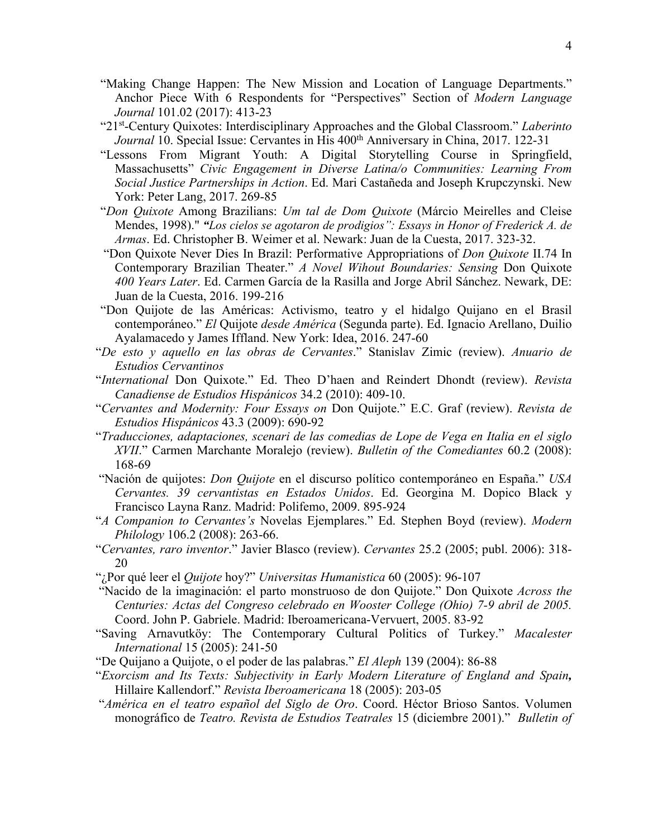- "Making Change Happen: The New Mission and Location of Language Departments." Anchor Piece With 6 Respondents for "Perspectives" Section of *Modern Language Journal* 101.02 (2017): 413-23
- "21st-Century Quixotes: Interdisciplinary Approaches and the Global Classroom." *Laberinto Journal* 10. Special Issue: Cervantes in His 400<sup>th</sup> Anniversary in China, 2017. 122-31
- "Lessons From Migrant Youth: A Digital Storytelling Course in Springfield, Massachusetts" *Civic Engagement in Diverse Latina/o Communities: Learning From Social Justice Partnerships in Action*. Ed. Mari Castañeda and Joseph Krupczynski. New York: Peter Lang, 2017. 269-85
- "*Don Quixote* Among Brazilians: *Um tal de Dom Quixote* (Márcio Meirelles and Cleise Mendes, 1998)." *"Los cielos se agotaron de prodigios": Essays in Honor of Frederick A. de Armas*. Ed. Christopher B. Weimer et al. Newark: Juan de la Cuesta, 2017. 323-32.
- "Don Quixote Never Dies In Brazil: Performative Appropriations of *Don Quixote* II.74 In Contemporary Brazilian Theater." *A Novel Wihout Boundaries: Sensing* Don Quixote *400 Years Later*. Ed. Carmen García de la Rasilla and Jorge Abril Sánchez. Newark, DE: Juan de la Cuesta, 2016. 199-216
- "Don Quijote de las Américas: Activismo, teatro y el hidalgo Quijano en el Brasil contemporáneo." *El* Quijote *desde América* (Segunda parte). Ed. Ignacio Arellano, Duilio Ayalamacedo y James Iffland. New York: Idea, 2016. 247-60
- "*De esto y aquello en las obras de Cervantes*." Stanislav Zimic (review). *Anuario de Estudios Cervantinos*
- "*International* Don Quixote." Ed. Theo D'haen and Reindert Dhondt (review). *Revista Canadiense de Estudios Hispánicos* 34.2 (2010): 409-10.
- "*Cervantes and Modernity: Four Essays on* Don Quijote." E.C. Graf (review). *Revista de Estudios Hispánicos* 43.3 (2009): 690-92
- "*Traducciones, adaptaciones, scenari de las comedias de Lope de Vega en Italia en el siglo XVII*." Carmen Marchante Moralejo (review). *Bulletin of the Comediantes* 60.2 (2008): 168-69
- "Nación de quijotes: *Don Quijote* en el discurso político contemporáneo en España." *USA Cervantes. 39 cervantistas en Estados Unidos*. Ed. Georgina M. Dopico Black y Francisco Layna Ranz. Madrid: Polifemo, 2009. 895-924
- "*A Companion to Cervantes's* Novelas Ejemplares." Ed. Stephen Boyd (review). *Modern Philology* 106.2 (2008): 263-66.
- "*Cervantes, raro inventor*." Javier Blasco (review). *Cervantes* 25.2 (2005; publ. 2006): 318- 20
- "¿Por qué leer el *Quijote* hoy?" *Universitas Humanistica* 60 (2005): 96-107
- "Nacido de la imaginación: el parto monstruoso de don Quijote." Don Quixote *Across the Centuries: Actas del Congreso celebrado en Wooster College (Ohio) 7-9 abril de 2005.* Coord. John P. Gabriele. Madrid: Iberoamericana-Vervuert, 2005. 83-92
- "Saving Arnavutköy: The Contemporary Cultural Politics of Turkey." *Macalester International* 15 (2005): 241-50
- "De Quijano a Quijote, o el poder de las palabras." *El Aleph* 139 (2004): 86-88
- "*Exorcism and Its Texts: Subjectivity in Early Modern Literature of England and Spain,*  Hillaire Kallendorf." *Revista Iberoamericana* 18 (2005): 203-05
- "*América en el teatro español del Siglo de Oro*. Coord. Héctor Brioso Santos. Volumen monográfico de *Teatro. Revista de Estudios Teatrales* 15 (diciembre 2001)." *Bulletin of*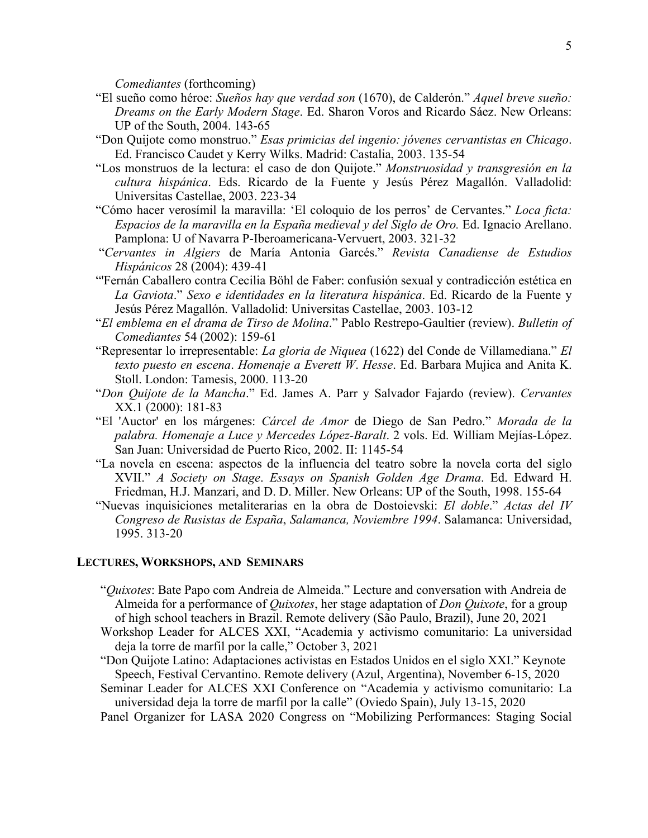*Comediantes* (forthcoming)

- "El sueño como héroe: *Sueños hay que verdad son* (1670), de Calderón." *Aquel breve sueño: Dreams on the Early Modern Stage*. Ed. Sharon Voros and Ricardo Sáez. New Orleans: UP of the South, 2004. 143-65
- "Don Quijote como monstruo." *Esas primicias del ingenio: jóvenes cervantistas en Chicago*. Ed. Francisco Caudet y Kerry Wilks. Madrid: Castalia, 2003. 135-54
- "Los monstruos de la lectura: el caso de don Quijote." *Monstruosidad y transgresión en la cultura hispánica*. Eds. Ricardo de la Fuente y Jesús Pérez Magallón. Valladolid: Universitas Castellae, 2003. 223-34
- "Cómo hacer verosímil la maravilla: 'El coloquio de los perros' de Cervantes." *Loca ficta: Espacios de la maravilla en la España medieval y del Siglo de Oro.* Ed. Ignacio Arellano. Pamplona: U of Navarra P-Iberoamericana-Vervuert, 2003. 321-32
- "*Cervantes in Algiers* de María Antonia Garcés." *Revista Canadiense de Estudios Hispánicos* 28 (2004): 439-41
- "'Fernán Caballero contra Cecilia Böhl de Faber: confusión sexual y contradicción estética en *La Gaviota*." *Sexo e identidades en la literatura hispánica*. Ed. Ricardo de la Fuente y Jesús Pérez Magallón. Valladolid: Universitas Castellae, 2003. 103-12
- "*El emblema en el drama de Tirso de Molina*." Pablo Restrepo-Gaultier (review). *Bulletin of Comediantes* 54 (2002): 159-61
- "Representar lo irrepresentable: *La gloria de Niquea* (1622) del Conde de Villamediana." *El texto puesto en escena*. *Homenaje a Everett W*. *Hesse*. Ed. Barbara Mujica and Anita K. Stoll. London: Tamesis, 2000. 113-20
- "*Don Quijote de la Mancha*." Ed. James A. Parr y Salvador Fajardo (review). *Cervantes* XX.1 (2000): 181-83
- "El 'Auctor' en los márgenes: *Cárcel de Amor* de Diego de San Pedro." *Morada de la palabra. Homenaje a Luce y Mercedes López-Baralt*. 2 vols. Ed. William Mejías-López. San Juan: Universidad de Puerto Rico, 2002. II: 1145-54
- "La novela en escena: aspectos de la influencia del teatro sobre la novela corta del siglo XVII." *A Society on Stage*. *Essays on Spanish Golden Age Drama*. Ed. Edward H. Friedman, H.J. Manzari, and D. D. Miller. New Orleans: UP of the South, 1998. 155-64
- "Nuevas inquisiciones metaliterarias en la obra de Dostoievski: *El doble*." *Actas del IV Congreso de Rusistas de España*, *Salamanca, Noviembre 1994*. Salamanca: Universidad, 1995. 313-20

#### **LECTURES, WORKSHOPS, AND SEMINARS**

- "*Quixotes*: Bate Papo com Andreia de Almeida." Lecture and conversation with Andreia de Almeida for a performance of *Quixotes*, her stage adaptation of *Don Quixote*, for a group of high school teachers in Brazil. Remote delivery (São Paulo, Brazil), June 20, 2021
- Workshop Leader for ALCES XXI, "Academia y activismo comunitario: La universidad deja la torre de marfil por la calle," October 3, 2021
- "Don Quijote Latino: Adaptaciones activistas en Estados Unidos en el siglo XXI." Keynote Speech, Festival Cervantino. Remote delivery (Azul, Argentina), November 6-15, 2020
- Seminar Leader for ALCES XXI Conference on "Academia y activismo comunitario: La universidad deja la torre de marfil por la calle" (Oviedo Spain), July 13-15, 2020
- Panel Organizer for LASA 2020 Congress on "Mobilizing Performances: Staging Social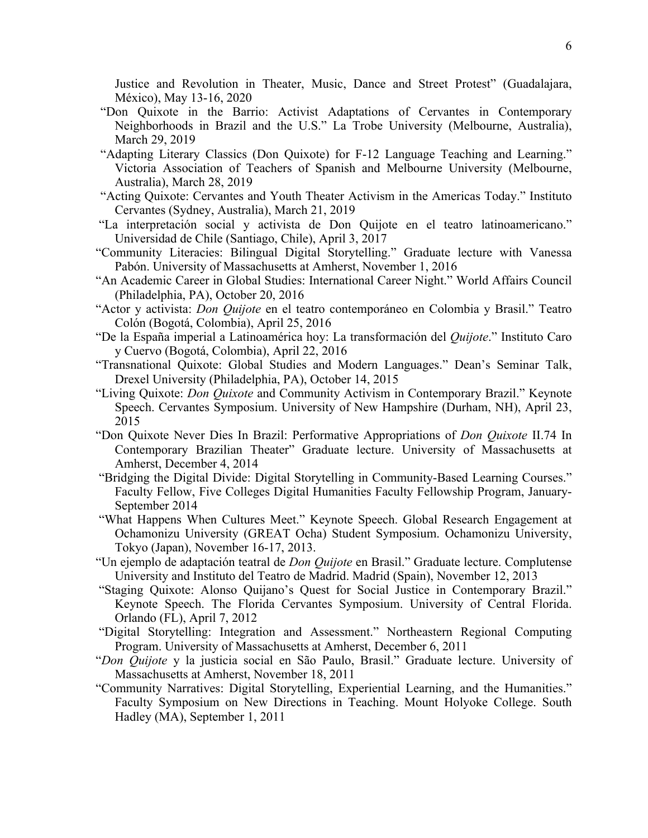Justice and Revolution in Theater, Music, Dance and Street Protest" (Guadalajara, México), May 13-16, 2020

- "Don Quixote in the Barrio: Activist Adaptations of Cervantes in Contemporary Neighborhoods in Brazil and the U.S." La Trobe University (Melbourne, Australia), March 29, 2019
- "Adapting Literary Classics (Don Quixote) for F-12 Language Teaching and Learning." Victoria Association of Teachers of Spanish and Melbourne University (Melbourne, Australia), March 28, 2019
- "Acting Quixote: Cervantes and Youth Theater Activism in the Americas Today." Instituto Cervantes (Sydney, Australia), March 21, 2019
- "La interpretación social y activista de Don Quijote en el teatro latinoamericano." Universidad de Chile (Santiago, Chile), April 3, 2017
- "Community Literacies: Bilingual Digital Storytelling." Graduate lecture with Vanessa Pabón. University of Massachusetts at Amherst, November 1, 2016
- "An Academic Career in Global Studies: International Career Night." World Affairs Council (Philadelphia, PA), October 20, 2016
- "Actor y activista: *Don Quijote* en el teatro contemporáneo en Colombia y Brasil." Teatro Colón (Bogotá, Colombia), April 25, 2016
- "De la España imperial a Latinoamérica hoy: La transformación del *Quijote*." Instituto Caro y Cuervo (Bogotá, Colombia), April 22, 2016
- "Transnational Quixote: Global Studies and Modern Languages." Dean's Seminar Talk, Drexel University (Philadelphia, PA), October 14, 2015
- "Living Quixote: *Don Quixote* and Community Activism in Contemporary Brazil." Keynote Speech. Cervantes Symposium. University of New Hampshire (Durham, NH), April 23, 2015
- "Don Quixote Never Dies In Brazil: Performative Appropriations of *Don Quixote* II.74 In Contemporary Brazilian Theater" Graduate lecture. University of Massachusetts at Amherst, December 4, 2014
- "Bridging the Digital Divide: Digital Storytelling in Community-Based Learning Courses." Faculty Fellow, Five Colleges Digital Humanities Faculty Fellowship Program, January-September 2014
- "What Happens When Cultures Meet." Keynote Speech. Global Research Engagement at Ochamonizu University (GREAT Ocha) Student Symposium. Ochamonizu University, Tokyo (Japan), November 16-17, 2013.
- "Un ejemplo de adaptación teatral de *Don Quijote* en Brasil." Graduate lecture. Complutense University and Instituto del Teatro de Madrid. Madrid (Spain), November 12, 2013
- "Staging Quixote: Alonso Quijano's Quest for Social Justice in Contemporary Brazil." Keynote Speech. The Florida Cervantes Symposium. University of Central Florida. Orlando (FL), April 7, 2012
- "Digital Storytelling: Integration and Assessment." Northeastern Regional Computing Program. University of Massachusetts at Amherst, December 6, 2011
- "*Don Quijote* y la justicia social en São Paulo, Brasil." Graduate lecture. University of Massachusetts at Amherst, November 18, 2011
- "Community Narratives: Digital Storytelling, Experiential Learning, and the Humanities." Faculty Symposium on New Directions in Teaching. Mount Holyoke College. South Hadley (MA), September 1, 2011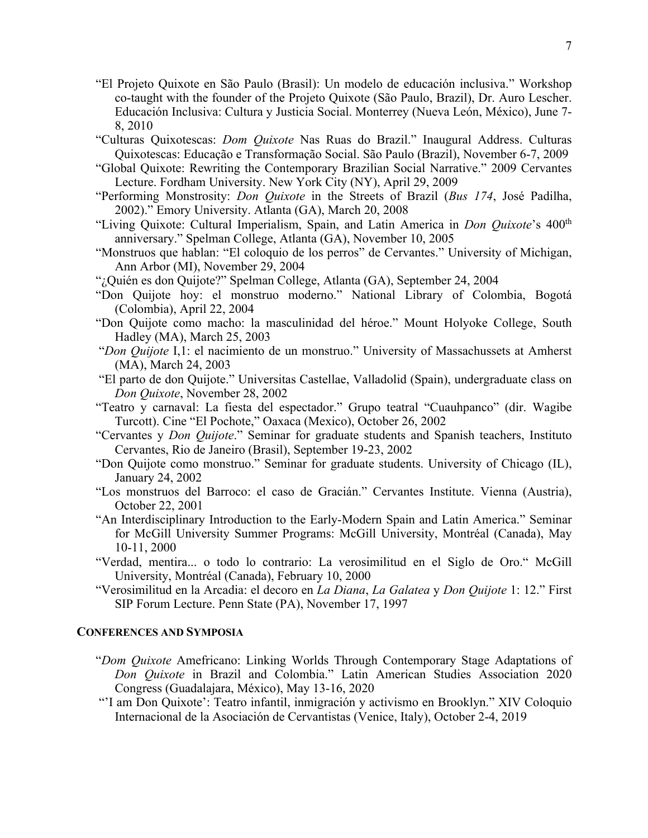- "El Projeto Quixote en São Paulo (Brasil): Un modelo de educación inclusiva." Workshop co-taught with the founder of the Projeto Quixote (São Paulo, Brazil), Dr. Auro Lescher. Educación Inclusiva: Cultura y Justicia Social. Monterrey (Nueva León, México), June 7- 8, 2010
- "Culturas Quixotescas: *Dom Quixote* Nas Ruas do Brazil." Inaugural Address. Culturas Quixotescas: Educação e Transformação Social. São Paulo (Brazil), November 6-7, 2009
- "Global Quixote: Rewriting the Contemporary Brazilian Social Narrative." 2009 Cervantes Lecture. Fordham University. New York City (NY), April 29, 2009
- "Performing Monstrosity: *Don Quixote* in the Streets of Brazil (*Bus 174*, José Padilha, 2002)." Emory University. Atlanta (GA), March 20, 2008
- "Living Quixote: Cultural Imperialism, Spain, and Latin America in *Don Quixote*'s 400th anniversary." Spelman College, Atlanta (GA), November 10, 2005
- "Monstruos que hablan: "El coloquio de los perros" de Cervantes." University of Michigan, Ann Arbor (MI), November 29, 2004
- "¿Quién es don Quijote?" Spelman College, Atlanta (GA), September 24, 2004
- "Don Quijote hoy: el monstruo moderno." National Library of Colombia, Bogotá (Colombia), April 22, 2004
- "Don Quijote como macho: la masculinidad del héroe." Mount Holyoke College, South Hadley (MA), March 25, 2003
- "*Don Quijote* I,1: el nacimiento de un monstruo." University of Massachussets at Amherst (MA), March 24, 2003
- "El parto de don Quijote." Universitas Castellae, Valladolid (Spain), undergraduate class on *Don Quixote*, November 28, 2002
- "Teatro y carnaval: La fiesta del espectador." Grupo teatral "Cuauhpanco" (dir. Wagibe Turcott). Cine "El Pochote," Oaxaca (Mexico), October 26, 2002
- "Cervantes y *Don Quijote*." Seminar for graduate students and Spanish teachers, Instituto Cervantes, Rio de Janeiro (Brasil), September 19-23, 2002
- "Don Quijote como monstruo." Seminar for graduate students. University of Chicago (IL), January 24, 2002
- "Los monstruos del Barroco: el caso de Gracián." Cervantes Institute. Vienna (Austria), October 22, 2001
- "An Interdisciplinary Introduction to the Early-Modern Spain and Latin America." Seminar for McGill University Summer Programs: McGill University, Montréal (Canada), May 10-11, 2000
- "Verdad, mentira... o todo lo contrario: La verosimilitud en el Siglo de Oro." McGill University, Montréal (Canada), February 10, 2000
- "Verosimilitud en la Arcadia: el decoro en *La Diana*, *La Galatea* y *Don Quijote* 1: 12." First SIP Forum Lecture. Penn State (PA), November 17, 1997

#### **CONFERENCES AND SYMPOSIA**

- "*Dom Quixote* Amefricano: Linking Worlds Through Contemporary Stage Adaptations of *Don Quixote* in Brazil and Colombia." Latin American Studies Association 2020 Congress (Guadalajara, México), May 13-16, 2020
- "'I am Don Quixote': Teatro infantil, inmigración y activismo en Brooklyn." XIV Coloquio Internacional de la Asociación de Cervantistas (Venice, Italy), October 2-4, 2019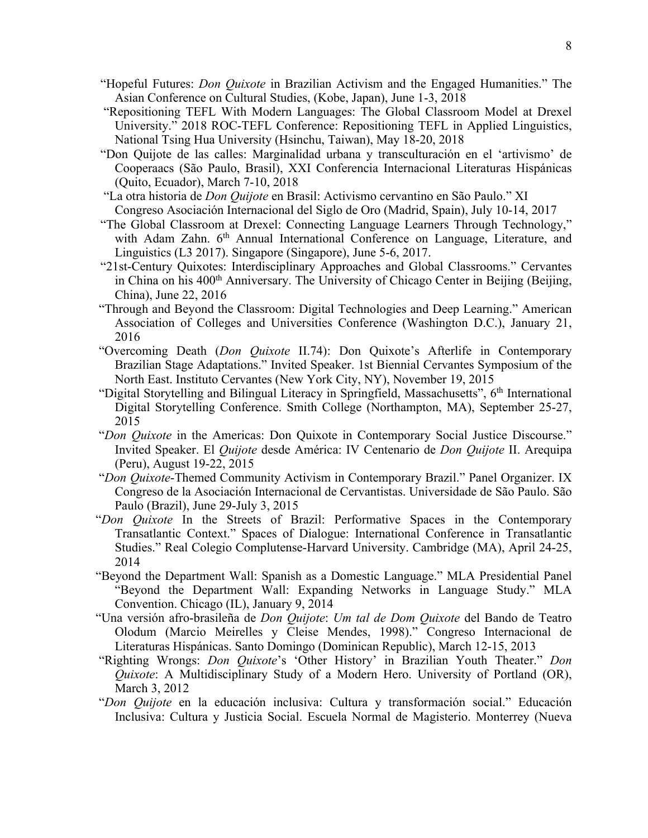- "Hopeful Futures: *Don Quixote* in Brazilian Activism and the Engaged Humanities." The Asian Conference on Cultural Studies, (Kobe, Japan), June 1-3, 2018
- "Repositioning TEFL With Modern Languages: The Global Classroom Model at Drexel University." 2018 ROC-TEFL Conference: Repositioning TEFL in Applied Linguistics, National Tsing Hua University (Hsinchu, Taiwan), May 18-20, 2018
- "Don Quijote de las calles: Marginalidad urbana y transculturación en el 'artivismo' de Cooperaacs (São Paulo, Brasil), XXI Conferencia Internacional Literaturas Hispánicas (Quito, Ecuador), March 7-10, 2018
- "La otra historia de *Don Quijote* en Brasil: Activismo cervantino en São Paulo." XI Congreso Asociación Internacional del Siglo de Oro (Madrid, Spain), July 10-14, 2017
- "The Global Classroom at Drexel: Connecting Language Learners Through Technology," with Adam Zahn. 6<sup>th</sup> Annual International Conference on Language, Literature, and Linguistics (L3 2017). Singapore (Singapore), June 5-6, 2017.
- "21st-Century Quixotes: Interdisciplinary Approaches and Global Classrooms." Cervantes in China on his 400<sup>th</sup> Anniversary. The University of Chicago Center in Beijing (Beijing, China), June 22, 2016
- "Through and Beyond the Classroom: Digital Technologies and Deep Learning." American Association of Colleges and Universities Conference (Washington D.C.), January 21, 2016
- "Overcoming Death (*Don Quixote* II.74): Don Quixote's Afterlife in Contemporary Brazilian Stage Adaptations." Invited Speaker. 1st Biennial Cervantes Symposium of the North East. Instituto Cervantes (New York City, NY), November 19, 2015
- "Digital Storytelling and Bilingual Literacy in Springfield, Massachusetts", 6<sup>th</sup> International Digital Storytelling Conference. Smith College (Northampton, MA), September 25-27, 2015
- "*Don Quixote* in the Americas: Don Quixote in Contemporary Social Justice Discourse." Invited Speaker. El *Quijote* desde América: IV Centenario de *Don Quijote* II. Arequipa (Peru), August 19-22, 2015
- "*Don Quixote*-Themed Community Activism in Contemporary Brazil." Panel Organizer. IX Congreso de la Asociación Internacional de Cervantistas. Universidade de São Paulo. São Paulo (Brazil), June 29-July 3, 2015
- "*Don Quixote* In the Streets of Brazil: Performative Spaces in the Contemporary Transatlantic Context." Spaces of Dialogue: International Conference in Transatlantic Studies." Real Colegio Complutense-Harvard University. Cambridge (MA), April 24-25, 2014
- "Beyond the Department Wall: Spanish as a Domestic Language." MLA Presidential Panel "Beyond the Department Wall: Expanding Networks in Language Study." MLA Convention. Chicago (IL), January 9, 2014
- "Una versión afro-brasileña de *Don Quijote*: *Um tal de Dom Quixote* del Bando de Teatro Olodum (Marcio Meirelles y Cleise Mendes, 1998)." Congreso Internacional de Literaturas Hispánicas. Santo Domingo (Dominican Republic), March 12-15, 2013
- "Righting Wrongs: *Don Quixote*'s 'Other History' in Brazilian Youth Theater." *Don Quixote*: A Multidisciplinary Study of a Modern Hero. University of Portland (OR), March 3, 2012
- "*Don Quijote* en la educación inclusiva: Cultura y transformación social." Educación Inclusiva: Cultura y Justicia Social. Escuela Normal de Magisterio. Monterrey (Nueva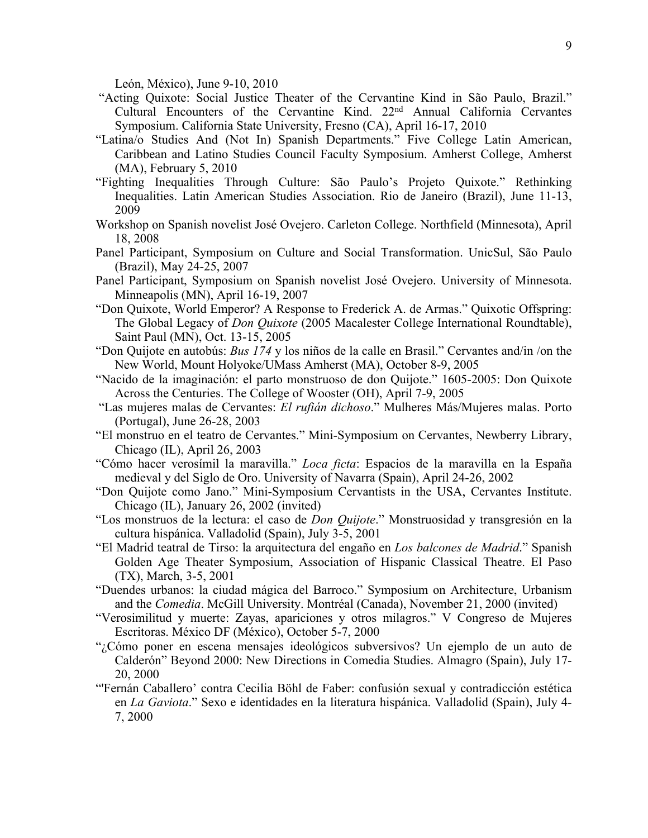León, México), June 9-10, 2010

- "Acting Quixote: Social Justice Theater of the Cervantine Kind in São Paulo, Brazil." Cultural Encounters of the Cervantine Kind. 22nd Annual California Cervantes Symposium. California State University, Fresno (CA), April 16-17, 2010
- "Latina/o Studies And (Not In) Spanish Departments." Five College Latin American, Caribbean and Latino Studies Council Faculty Symposium. Amherst College, Amherst (MA), February 5, 2010
- "Fighting Inequalities Through Culture: São Paulo's Projeto Quixote." Rethinking Inequalities. Latin American Studies Association. Rio de Janeiro (Brazil), June 11-13, 2009
- Workshop on Spanish novelist José Ovejero. Carleton College. Northfield (Minnesota), April 18, 2008
- Panel Participant, Symposium on Culture and Social Transformation. UnicSul, São Paulo (Brazil), May 24-25, 2007
- Panel Participant, Symposium on Spanish novelist José Ovejero. University of Minnesota. Minneapolis (MN), April 16-19, 2007
- "Don Quixote, World Emperor? A Response to Frederick A. de Armas." Quixotic Offspring: The Global Legacy of *Don Quixote* (2005 Macalester College International Roundtable), Saint Paul (MN), Oct. 13-15, 2005
- "Don Quijote en autobús: *Bus 174* y los niños de la calle en Brasil." Cervantes and/in /on the New World, Mount Holyoke/UMass Amherst (MA), October 8-9, 2005
- "Nacido de la imaginación: el parto monstruoso de don Quijote." 1605-2005: Don Quixote Across the Centuries. The College of Wooster (OH), April 7-9, 2005
- "Las mujeres malas de Cervantes: *El rufián dichoso*." Mulheres Más/Mujeres malas. Porto (Portugal), June 26-28, 2003
- "El monstruo en el teatro de Cervantes." Mini-Symposium on Cervantes, Newberry Library, Chicago (IL), April 26, 2003
- "Cómo hacer verosímil la maravilla." *Loca ficta*: Espacios de la maravilla en la España medieval y del Siglo de Oro. University of Navarra (Spain), April 24-26, 2002
- "Don Quijote como Jano." Mini-Symposium Cervantists in the USA, Cervantes Institute. Chicago (IL), January 26, 2002 (invited)
- "Los monstruos de la lectura: el caso de *Don Quijote*." Monstruosidad y transgresión en la cultura hispánica. Valladolid (Spain), July 3-5, 2001
- "El Madrid teatral de Tirso: la arquitectura del engaño en *Los balcones de Madrid*." Spanish Golden Age Theater Symposium, Association of Hispanic Classical Theatre. El Paso (TX), March, 3-5, 2001
- "Duendes urbanos: la ciudad mágica del Barroco." Symposium on Architecture, Urbanism and the *Comedia*. McGill University. Montréal (Canada), November 21, 2000 (invited)
- "Verosimilitud y muerte: Zayas, apariciones y otros milagros." V Congreso de Mujeres Escritoras. México DF (México), October 5-7, 2000
- "¿Cómo poner en escena mensajes ideológicos subversivos? Un ejemplo de un auto de Calderón" Beyond 2000: New Directions in Comedia Studies. Almagro (Spain), July 17- 20, 2000
- "'Fernán Caballero' contra Cecilia Böhl de Faber: confusión sexual y contradicción estética en *La Gaviota*." Sexo e identidades en la literatura hispánica. Valladolid (Spain), July 4- 7, 2000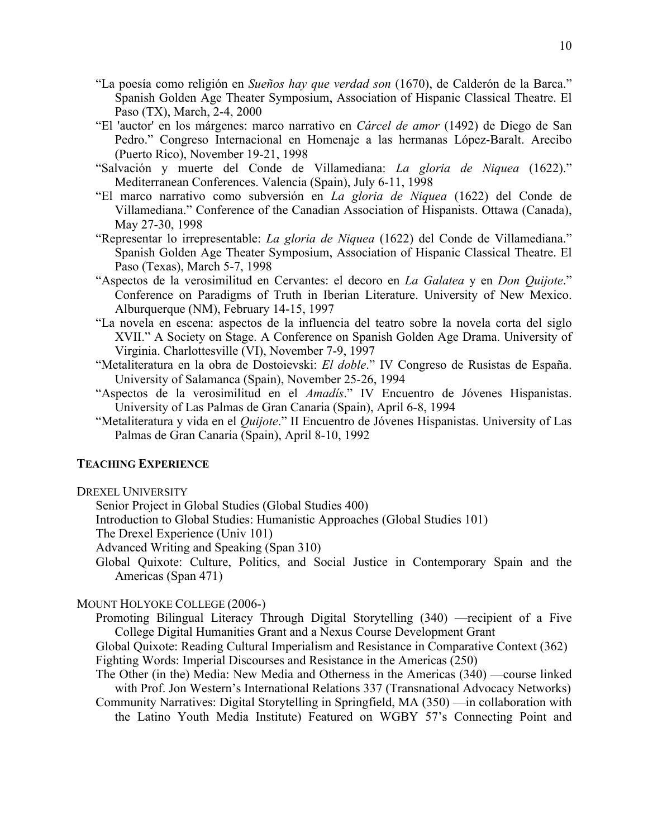- "La poesía como religión en *Sueños hay que verdad son* (1670), de Calderón de la Barca." Spanish Golden Age Theater Symposium, Association of Hispanic Classical Theatre. El Paso (TX), March, 2-4, 2000
- "El 'auctor' en los márgenes: marco narrativo en *Cárcel de amor* (1492) de Diego de San Pedro." Congreso Internacional en Homenaje a las hermanas López-Baralt. Arecibo (Puerto Rico), November 19-21, 1998
- "Salvación y muerte del Conde de Villamediana: *La gloria de Niquea* (1622)." Mediterranean Conferences. Valencia (Spain), July 6-11, 1998
- "El marco narrativo como subversión en *La gloria de Niquea* (1622) del Conde de Villamediana." Conference of the Canadian Association of Hispanists. Ottawa (Canada), May 27-30, 1998
- "Representar lo irrepresentable: *La gloria de Niquea* (1622) del Conde de Villamediana." Spanish Golden Age Theater Symposium, Association of Hispanic Classical Theatre. El Paso (Texas), March 5-7, 1998
- "Aspectos de la verosimilitud en Cervantes: el decoro en *La Galatea* y en *Don Quijote*." Conference on Paradigms of Truth in Iberian Literature. University of New Mexico. Alburquerque (NM), February 14-15, 1997
- "La novela en escena: aspectos de la influencia del teatro sobre la novela corta del siglo XVII." A Society on Stage. A Conference on Spanish Golden Age Drama. University of Virginia. Charlottesville (VI), November 7-9, 1997
- "Metaliteratura en la obra de Dostoievski: *El doble*." IV Congreso de Rusistas de España. University of Salamanca (Spain), November 25-26, 1994
- "Aspectos de la verosimilitud en el *Amadís*." IV Encuentro de Jóvenes Hispanistas. University of Las Palmas de Gran Canaria (Spain), April 6-8, 1994
- "Metaliteratura y vida en el *Quijote*." II Encuentro de Jóvenes Hispanistas. University of Las Palmas de Gran Canaria (Spain), April 8-10, 1992

#### **TEACHING EXPERIENCE**

- DREXEL UNIVERSITY
	- Senior Project in Global Studies (Global Studies 400)
	- Introduction to Global Studies: Humanistic Approaches (Global Studies 101)
	- The Drexel Experience (Univ 101)
	- Advanced Writing and Speaking (Span 310)
	- Global Quixote: Culture, Politics, and Social Justice in Contemporary Spain and the Americas (Span 471)

# MOUNT HOLYOKE COLLEGE (2006-)

- Promoting Bilingual Literacy Through Digital Storytelling (340) —recipient of a Five College Digital Humanities Grant and a Nexus Course Development Grant
- Global Quixote: Reading Cultural Imperialism and Resistance in Comparative Context (362) Fighting Words: Imperial Discourses and Resistance in the Americas (250)
- The Other (in the) Media: New Media and Otherness in the Americas (340) —course linked with Prof. Jon Western's International Relations 337 (Transnational Advocacy Networks)
- Community Narratives: Digital Storytelling in Springfield, MA (350) —in collaboration with the Latino Youth Media Institute) Featured on WGBY 57's Connecting Point and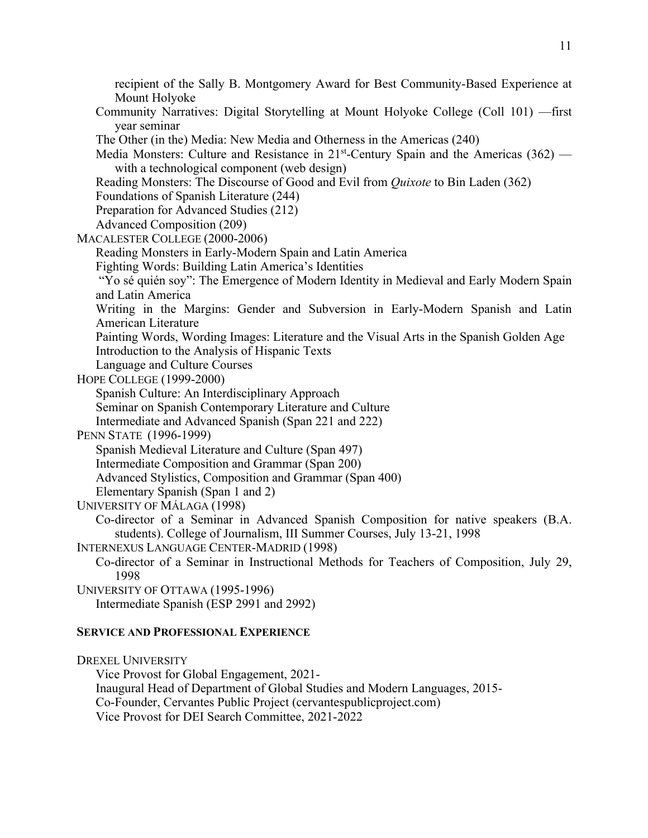recipient of the Sally B. Montgomery Award for Best Community-Based Experience at Mount Holyoke Community Narratives: Digital Storytelling at Mount Holyoke College (Coll 101) —first year seminar The Other (in the) Media: New Media and Otherness in the Americas (240) Media Monsters: Culture and Resistance in  $21<sup>st</sup>$ -Century Spain and the Americas (362) with a technological component (web design) Reading Monsters: The Discourse of Good and Evil from *Quixote* to Bin Laden (362) Foundations of Spanish Literature (244) Preparation for Advanced Studies (212) Advanced Composition (209) MACALESTER COLLEGE (2000-2006) Reading Monsters in Early-Modern Spain and Latin America Fighting Words: Building Latin America's Identities "Yo sé quién soy": The Emergence of Modern Identity in Medieval and Early Modern Spain and Latin America Writing in the Margins: Gender and Subversion in Early-Modern Spanish and Latin American Literature Painting Words, Wording Images: Literature and the Visual Arts in the Spanish Golden Age Introduction to the Analysis of Hispanic Texts Language and Culture Courses HOPE COLLEGE (1999-2000) Spanish Culture: An Interdisciplinary Approach Seminar on Spanish Contemporary Literature and Culture Intermediate and Advanced Spanish (Span 221 and 222) PENN STATE (1996-1999) Spanish Medieval Literature and Culture (Span 497) Intermediate Composition and Grammar (Span 200) Advanced Stylistics, Composition and Grammar (Span 400) Elementary Spanish (Span 1 and 2) UNIVERSITY OF MÁLAGA (1998) Co-director of a Seminar in Advanced Spanish Composition for native speakers (B.A. students). College of Journalism, III Summer Courses, July 13-21, 1998 INTERNEXUS LANGUAGE CENTER-MADRID (1998) Co-director of a Seminar in Instructional Methods for Teachers of Composition, July 29, 1998 UNIVERSITY OF OTTAWA (1995-1996) Intermediate Spanish (ESP 2991 and 2992)

## **SERVICE AND PROFESSIONAL EXPERIENCE**

DREXEL UNIVERSITY Vice Provost for Global Engagement, 2021- Inaugural Head of Department of Global Studies and Modern Languages, 2015- Co-Founder, Cervantes Public Project (cervantespublicproject.com) Vice Provost for DEI Search Committee, 2021-2022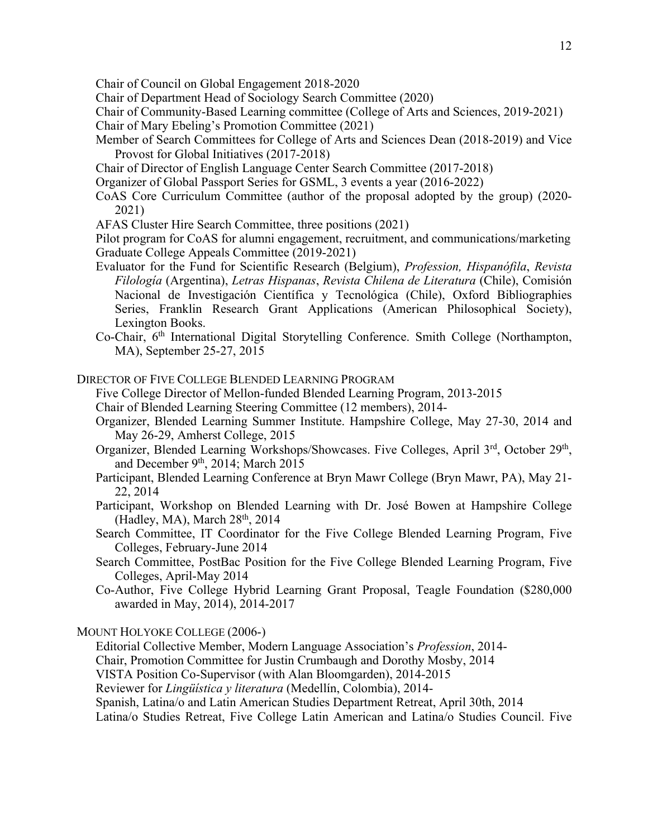Chair of Council on Global Engagement 2018-2020

Chair of Department Head of Sociology Search Committee (2020)

Chair of Community-Based Learning committee (College of Arts and Sciences, 2019-2021) Chair of Mary Ebeling's Promotion Committee (2021)

- Member of Search Committees for College of Arts and Sciences Dean (2018-2019) and Vice Provost for Global Initiatives (2017-2018)
- Chair of Director of English Language Center Search Committee (2017-2018)

Organizer of Global Passport Series for GSML, 3 events a year (2016-2022)

- CoAS Core Curriculum Committee (author of the proposal adopted by the group) (2020- 2021)
- AFAS Cluster Hire Search Committee, three positions (2021)

Pilot program for CoAS for alumni engagement, recruitment, and communications/marketing Graduate College Appeals Committee (2019-2021)

- Evaluator for the Fund for Scientific Research (Belgium), *Profession, Hispanófila*, *Revista Filología* (Argentina), *Letras Hispanas*, *Revista Chilena de Literatura* (Chile), Comisión Nacional de Investigación Científica y Tecnológica (Chile), Oxford Bibliographies Series, Franklin Research Grant Applications (American Philosophical Society), Lexington Books.
- Co-Chair, 6<sup>th</sup> International Digital Storytelling Conference. Smith College (Northampton, MA), September 25-27, 2015

DIRECTOR OF FIVE COLLEGE BLENDED LEARNING PROGRAM

Five College Director of Mellon-funded Blended Learning Program, 2013-2015

Chair of Blended Learning Steering Committee (12 members), 2014-

Organizer, Blended Learning Summer Institute. Hampshire College, May 27-30, 2014 and May 26-29, Amherst College, 2015

Organizer, Blended Learning Workshops/Showcases. Five Colleges, April 3rd, October 29th, and December  $9<sup>th</sup>$ , 2014; March 2015

- Participant, Blended Learning Conference at Bryn Mawr College (Bryn Mawr, PA), May 21- 22, 2014
- Participant, Workshop on Blended Learning with Dr. José Bowen at Hampshire College (Hadley, MA), March  $28<sup>th</sup>$ ,  $2014$

Search Committee, IT Coordinator for the Five College Blended Learning Program, Five Colleges, February-June 2014

- Search Committee, PostBac Position for the Five College Blended Learning Program, Five Colleges, April-May 2014
- Co-Author, Five College Hybrid Learning Grant Proposal, Teagle Foundation (\$280,000 awarded in May, 2014), 2014-2017

MOUNT HOLYOKE COLLEGE (2006-)

Editorial Collective Member, Modern Language Association's *Profession*, 2014-

Chair, Promotion Committee for Justin Crumbaugh and Dorothy Mosby, 2014

VISTA Position Co-Supervisor (with Alan Bloomgarden), 2014-2015

Reviewer for *Lingüística y literatura* (Medellín, Colombia), 2014-

Spanish, Latina/o and Latin American Studies Department Retreat, April 30th, 2014

Latina/o Studies Retreat, Five College Latin American and Latina/o Studies Council. Five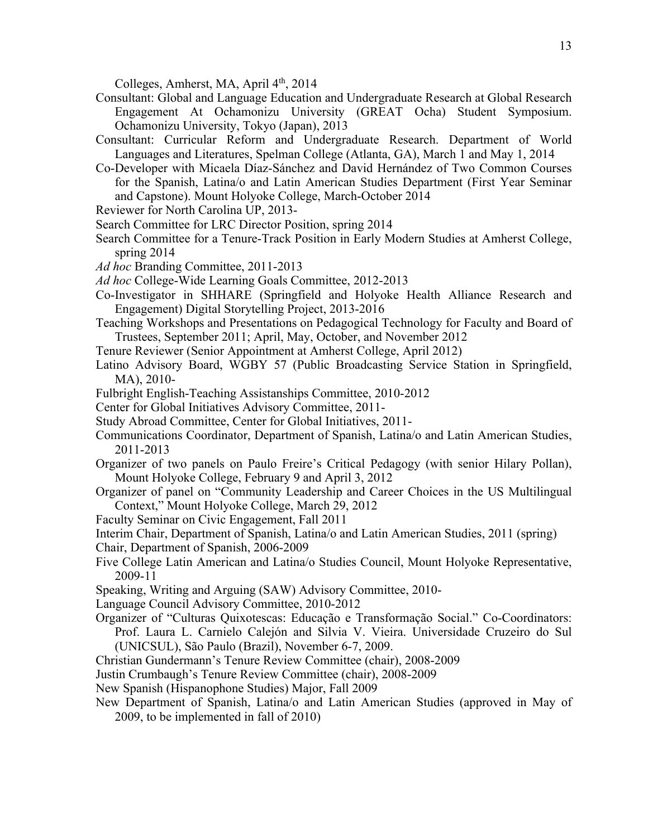Colleges, Amherst, MA, April 4<sup>th</sup>, 2014

- Consultant: Global and Language Education and Undergraduate Research at Global Research Engagement At Ochamonizu University (GREAT Ocha) Student Symposium. Ochamonizu University, Tokyo (Japan), 2013
- Consultant: Curricular Reform and Undergraduate Research. Department of World Languages and Literatures, Spelman College (Atlanta, GA), March 1 and May 1, 2014
- Co-Developer with Micaela Díaz-Sánchez and David Hernández of Two Common Courses for the Spanish, Latina/o and Latin American Studies Department (First Year Seminar and Capstone). Mount Holyoke College, March-October 2014
- Reviewer for North Carolina UP, 2013-
- Search Committee for LRC Director Position, spring 2014
- Search Committee for a Tenure-Track Position in Early Modern Studies at Amherst College, spring 2014
- *Ad hoc* Branding Committee, 2011-2013
- *Ad hoc* College-Wide Learning Goals Committee, 2012-2013
- Co-Investigator in SHHARE (Springfield and Holyoke Health Alliance Research and Engagement) Digital Storytelling Project, 2013-2016
- Teaching Workshops and Presentations on Pedagogical Technology for Faculty and Board of Trustees, September 2011; April, May, October, and November 2012
- Tenure Reviewer (Senior Appointment at Amherst College, April 2012)
- Latino Advisory Board, WGBY 57 (Public Broadcasting Service Station in Springfield, MA), 2010-
- Fulbright English-Teaching Assistanships Committee, 2010-2012
- Center for Global Initiatives Advisory Committee, 2011-
- Study Abroad Committee, Center for Global Initiatives, 2011-
- Communications Coordinator, Department of Spanish, Latina/o and Latin American Studies, 2011-2013
- Organizer of two panels on Paulo Freire's Critical Pedagogy (with senior Hilary Pollan), Mount Holyoke College, February 9 and April 3, 2012
- Organizer of panel on "Community Leadership and Career Choices in the US Multilingual Context," Mount Holyoke College, March 29, 2012
- Faculty Seminar on Civic Engagement, Fall 2011

Interim Chair, Department of Spanish, Latina/o and Latin American Studies, 2011 (spring)

- Chair, Department of Spanish, 2006-2009
- Five College Latin American and Latina/o Studies Council, Mount Holyoke Representative, 2009-11
- Speaking, Writing and Arguing (SAW) Advisory Committee, 2010-
- Language Council Advisory Committee, 2010-2012
- Organizer of "Culturas Quixotescas: Educação e Transformação Social." Co-Coordinators: Prof. Laura L. Carnielo Calejón and Silvia V. Vieira. Universidade Cruzeiro do Sul (UNICSUL), São Paulo (Brazil), November 6-7, 2009.
- Christian Gundermann's Tenure Review Committee (chair), 2008-2009

Justin Crumbaugh's Tenure Review Committee (chair), 2008-2009

- New Spanish (Hispanophone Studies) Major, Fall 2009
- New Department of Spanish, Latina/o and Latin American Studies (approved in May of 2009, to be implemented in fall of 2010)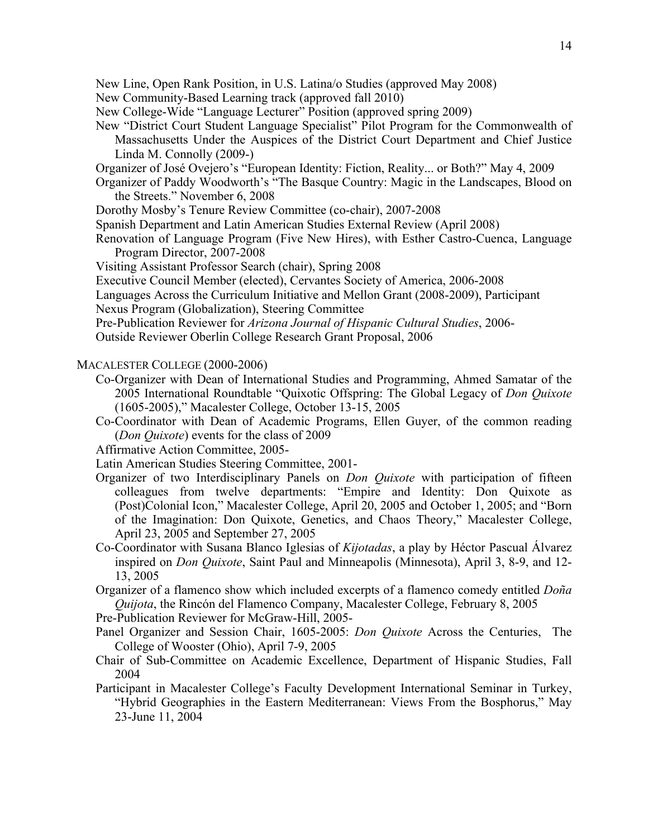- New Community-Based Learning track (approved fall 2010)
- New College-Wide "Language Lecturer" Position (approved spring 2009)
- New "District Court Student Language Specialist" Pilot Program for the Commonwealth of Massachusetts Under the Auspices of the District Court Department and Chief Justice Linda M. Connolly (2009-)
- Organizer of José Ovejero's "European Identity: Fiction, Reality... or Both?" May 4, 2009
- Organizer of Paddy Woodworth's "The Basque Country: Magic in the Landscapes, Blood on the Streets." November 6, 2008
- Dorothy Mosby's Tenure Review Committee (co-chair), 2007-2008
- Spanish Department and Latin American Studies External Review (April 2008)
- Renovation of Language Program (Five New Hires), with Esther Castro-Cuenca, Language Program Director, 2007-2008
- Visiting Assistant Professor Search (chair), Spring 2008
- Executive Council Member (elected), Cervantes Society of America, 2006-2008
- Languages Across the Curriculum Initiative and Mellon Grant (2008-2009), Participant
- Nexus Program (Globalization), Steering Committee
- Pre-Publication Reviewer for *Arizona Journal of Hispanic Cultural Studies*, 2006-
- Outside Reviewer Oberlin College Research Grant Proposal, 2006
- MACALESTER COLLEGE (2000-2006)
	- Co-Organizer with Dean of International Studies and Programming, Ahmed Samatar of the 2005 International Roundtable "Quixotic Offspring: The Global Legacy of *Don Quixote* (1605-2005)," Macalester College, October 13-15, 2005
	- Co-Coordinator with Dean of Academic Programs, Ellen Guyer, of the common reading (*Don Quixote*) events for the class of 2009
	- Affirmative Action Committee, 2005-
	- Latin American Studies Steering Committee, 2001-
	- Organizer of two Interdisciplinary Panels on *Don Quixote* with participation of fifteen colleagues from twelve departments: "Empire and Identity: Don Quixote as (Post)Colonial Icon," Macalester College, April 20, 2005 and October 1, 2005; and "Born of the Imagination: Don Quixote, Genetics, and Chaos Theory," Macalester College, April 23, 2005 and September 27, 2005
	- Co-Coordinator with Susana Blanco Iglesias of *Kijotadas*, a play by Héctor Pascual Álvarez inspired on *Don Quixote*, Saint Paul and Minneapolis (Minnesota), April 3, 8-9, and 12- 13, 2005
	- Organizer of a flamenco show which included excerpts of a flamenco comedy entitled *Doña Quijota*, the Rincón del Flamenco Company, Macalester College, February 8, 2005
	- Pre-Publication Reviewer for McGraw-Hill, 2005-
	- Panel Organizer and Session Chair, 1605-2005: *Don Quixote* Across the Centuries, The College of Wooster (Ohio), April 7-9, 2005
	- Chair of Sub-Committee on Academic Excellence, Department of Hispanic Studies, Fall 2004
	- Participant in Macalester College's Faculty Development International Seminar in Turkey, "Hybrid Geographies in the Eastern Mediterranean: Views From the Bosphorus," May 23-June 11, 2004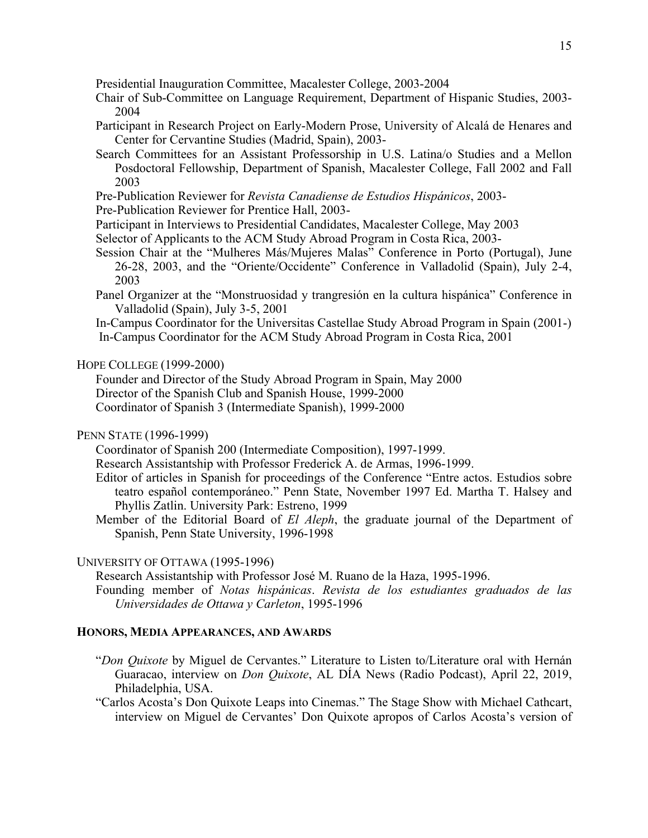Presidential Inauguration Committee, Macalester College, 2003-2004

- Chair of Sub-Committee on Language Requirement, Department of Hispanic Studies, 2003- 2004
- Participant in Research Project on Early-Modern Prose, University of Alcalá de Henares and Center for Cervantine Studies (Madrid, Spain), 2003-
- Search Committees for an Assistant Professorship in U.S. Latina/o Studies and a Mellon Posdoctoral Fellowship, Department of Spanish, Macalester College, Fall 2002 and Fall 2003
- Pre-Publication Reviewer for *Revista Canadiense de Estudios Hispánicos*, 2003-
- Pre-Publication Reviewer for Prentice Hall, 2003-
- Participant in Interviews to Presidential Candidates, Macalester College, May 2003
- Selector of Applicants to the ACM Study Abroad Program in Costa Rica, 2003-
- Session Chair at the "Mulheres Más/Mujeres Malas" Conference in Porto (Portugal), June 26-28, 2003, and the "Oriente/Occidente" Conference in Valladolid (Spain), July 2-4, 2003
- Panel Organizer at the "Monstruosidad y trangresión en la cultura hispánica" Conference in Valladolid (Spain), July 3-5, 2001
- In-Campus Coordinator for the Universitas Castellae Study Abroad Program in Spain (2001-) In-Campus Coordinator for the ACM Study Abroad Program in Costa Rica, 2001

### HOPE COLLEGE (1999-2000)

 Founder and Director of the Study Abroad Program in Spain, May 2000 Director of the Spanish Club and Spanish House, 1999-2000 Coordinator of Spanish 3 (Intermediate Spanish), 1999-2000

### PENN STATE (1996-1999)

Coordinator of Spanish 200 (Intermediate Composition), 1997-1999.

- Research Assistantship with Professor Frederick A. de Armas, 1996-1999.
- Editor of articles in Spanish for proceedings of the Conference "Entre actos. Estudios sobre teatro español contemporáneo." Penn State, November 1997 Ed. Martha T. Halsey and Phyllis Zatlin. University Park: Estreno, 1999
- Member of the Editorial Board of *El Aleph*, the graduate journal of the Department of Spanish, Penn State University, 1996-1998

#### UNIVERSITY OF OTTAWA (1995-1996)

Research Assistantship with Professor José M. Ruano de la Haza, 1995-1996.

Founding member of *Notas hispánicas*. *Revista de los estudiantes graduados de las Universidades de Ottawa y Carleton*, 1995-1996

#### **HONORS, MEDIA APPEARANCES, AND AWARDS**

- "*Don Quixote* by Miguel de Cervantes." Literature to Listen to/Literature oral with Hernán Guaracao, interview on *Don Quixote*, AL DÍA News (Radio Podcast), April 22, 2019, Philadelphia, USA.
- "Carlos Acosta's Don Quixote Leaps into Cinemas." The Stage Show with Michael Cathcart, interview on Miguel de Cervantes' Don Quixote apropos of Carlos Acosta's version of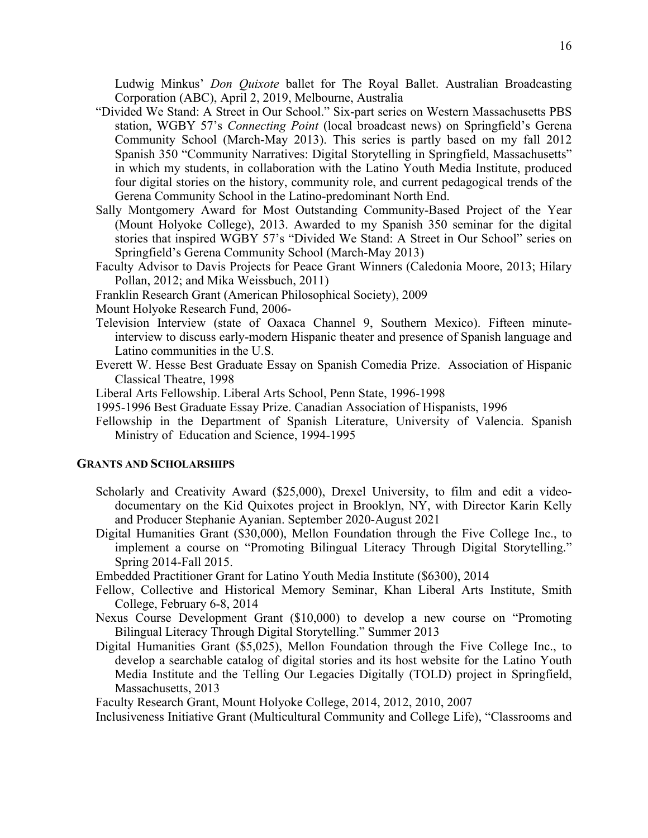Ludwig Minkus' *Don Quixote* ballet for The Royal Ballet. Australian Broadcasting Corporation (ABC), April 2, 2019, Melbourne, Australia

- "Divided We Stand: A Street in Our School." Six-part series on Western Massachusetts PBS station, WGBY 57's *Connecting Point* (local broadcast news) on Springfield's Gerena Community School (March-May 2013). This series is partly based on my fall 2012 Spanish 350 "Community Narratives: Digital Storytelling in Springfield, Massachusetts" in which my students, in collaboration with the Latino Youth Media Institute, produced four digital stories on the history, community role, and current pedagogical trends of the Gerena Community School in the Latino-predominant North End.
- Sally Montgomery Award for Most Outstanding Community-Based Project of the Year (Mount Holyoke College), 2013. Awarded to my Spanish 350 seminar for the digital stories that inspired WGBY 57's "Divided We Stand: A Street in Our School" series on Springfield's Gerena Community School (March-May 2013)
- Faculty Advisor to Davis Projects for Peace Grant Winners (Caledonia Moore, 2013; Hilary Pollan, 2012; and Mika Weissbuch, 2011)
- Franklin Research Grant (American Philosophical Society), 2009

Mount Holyoke Research Fund, 2006-

- Television Interview (state of Oaxaca Channel 9, Southern Mexico). Fifteen minuteinterview to discuss early-modern Hispanic theater and presence of Spanish language and Latino communities in the U.S.
- Everett W. Hesse Best Graduate Essay on Spanish Comedia Prize. Association of Hispanic Classical Theatre, 1998
- Liberal Arts Fellowship. Liberal Arts School, Penn State, 1996-1998
- 1995-1996 Best Graduate Essay Prize. Canadian Association of Hispanists, 1996
- Fellowship in the Department of Spanish Literature, University of Valencia. Spanish Ministry of Education and Science, 1994-1995

#### **GRANTS AND SCHOLARSHIPS**

- Scholarly and Creativity Award (\$25,000), Drexel University, to film and edit a videodocumentary on the Kid Quixotes project in Brooklyn, NY, with Director Karin Kelly and Producer Stephanie Ayanian. September 2020-August 2021
- Digital Humanities Grant (\$30,000), Mellon Foundation through the Five College Inc., to implement a course on "Promoting Bilingual Literacy Through Digital Storytelling." Spring 2014-Fall 2015.
- Embedded Practitioner Grant for Latino Youth Media Institute (\$6300), 2014
- Fellow, Collective and Historical Memory Seminar, Khan Liberal Arts Institute, Smith College, February 6-8, 2014
- Nexus Course Development Grant (\$10,000) to develop a new course on "Promoting Bilingual Literacy Through Digital Storytelling." Summer 2013
- Digital Humanities Grant (\$5,025), Mellon Foundation through the Five College Inc., to develop a searchable catalog of digital stories and its host website for the Latino Youth Media Institute and the Telling Our Legacies Digitally (TOLD) project in Springfield, Massachusetts, 2013

Faculty Research Grant, Mount Holyoke College, 2014, 2012, 2010, 2007

Inclusiveness Initiative Grant (Multicultural Community and College Life), "Classrooms and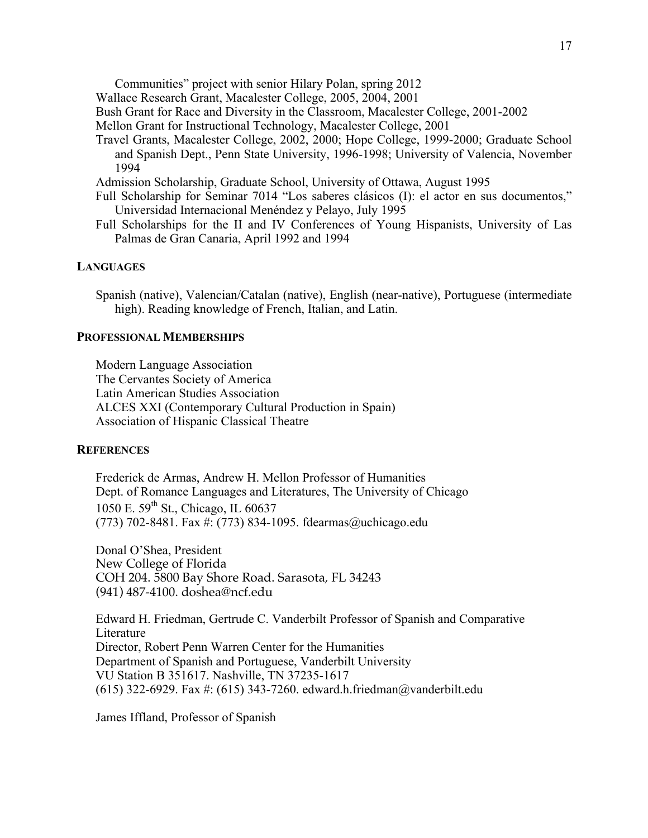Communities" project with senior Hilary Polan, spring 2012

Wallace Research Grant, Macalester College, 2005, 2004, 2001

Bush Grant for Race and Diversity in the Classroom, Macalester College, 2001-2002

Mellon Grant for Instructional Technology, Macalester College, 2001

Travel Grants, Macalester College, 2002, 2000; Hope College, 1999-2000; Graduate School and Spanish Dept., Penn State University, 1996-1998; University of Valencia, November 1994

Admission Scholarship, Graduate School, University of Ottawa, August 1995

- Full Scholarship for Seminar 7014 "Los saberes clásicos (I): el actor en sus documentos," Universidad Internacional Menéndez y Pelayo, July 1995
- Full Scholarships for the II and IV Conferences of Young Hispanists, University of Las Palmas de Gran Canaria, April 1992 and 1994

#### **LANGUAGES**

Spanish (native), Valencian/Catalan (native), English (near-native), Portuguese (intermediate high). Reading knowledge of French, Italian, and Latin.

## **PROFESSIONAL MEMBERSHIPS**

Modern Language Association The Cervantes Society of America Latin American Studies Association ALCES XXI (Contemporary Cultural Production in Spain) Association of Hispanic Classical Theatre

#### **REFERENCES**

Frederick de Armas, Andrew H. Mellon Professor of Humanities Dept. of Romance Languages and Literatures, The University of Chicago 1050 E. 59<sup>th</sup> St., Chicago, IL 60637 (773) 702-8481. Fax #: (773) 834-1095. fdearmas@uchicago.edu

Donal O'Shea, President New College of Florida COH 204. 5800 Bay Shore Road. Sarasota, FL 34243 (941) 487-4100. doshea@ncf.edu

Edward H. Friedman, Gertrude C. Vanderbilt Professor of Spanish and Comparative Literature Director, Robert Penn Warren Center for the Humanities Department of Spanish and Portuguese, Vanderbilt University VU Station B 351617. Nashville, TN 37235-1617 (615) 322-6929. Fax #: (615) 343-7260. edward.h.friedman@vanderbilt.edu

James Iffland, Professor of Spanish